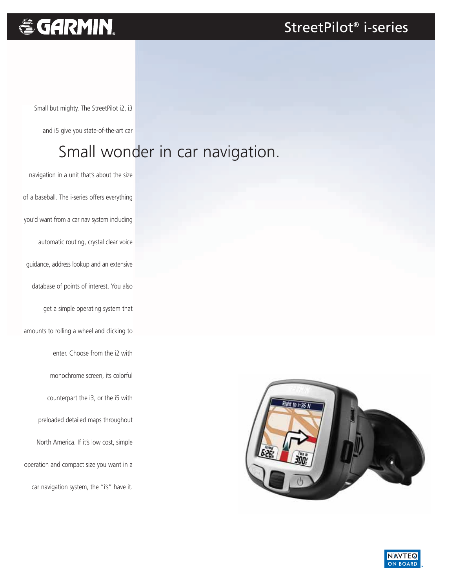### StreetPilot® i-series

# & GARMIN.

Small but mighty. The StreetPilot i2, i3

and i5 give you state-of-the-art car

## Small wonder in car navigation.

navigation in a unit that's about the size of a baseball. The i-series offers everything you'd want from a car nav system including automatic routing, crystal clear voice guidance, address lookup and an extensive database of points of interest. You also get a simple operating system that amounts to rolling a wheel and clicking to enter. Choose from the i2 with monochrome screen, its colorful counterpart the i3, or the i5 with preloaded detailed maps throughout North America. If it's low cost, simple operation and compact size you want in a car navigation system, the "i's" have it.